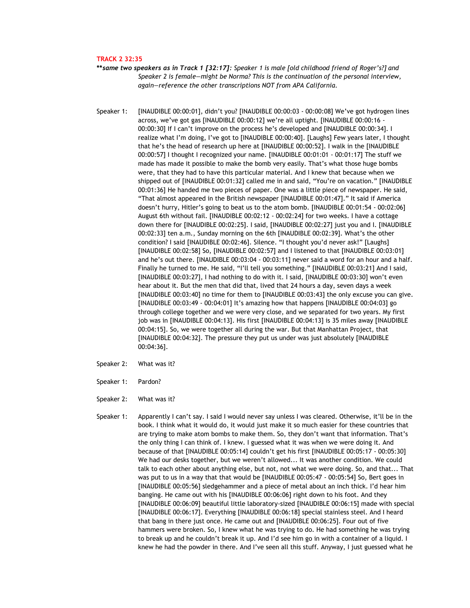## **TRACK 2 32:35**

**\*\****same two speakers as in Track 1 [32:17]: Speaker 1 is male [old childhood friend of Roger's?] and Speaker 2 is female—might be Norma? This is the continuation of the personal interview, again—reference the other transcriptions NOT from APA California.* 

Speaker 1: [INAUDIBLE 00:00:01], didn't you? [INAUDIBLE 00:00:03 - 00:00:08] We've got hydrogen lines across, we've got gas [INAUDIBLE 00:00:12] we're all uptight. [INAUDIBLE 00:00:16 - 00:00:30] If I can't improve on the process he's developed and [INAUDIBLE 00:00:34]. I realize what I'm doing, I've got to [INAUDIBLE 00:00:40]. [Laughs] Few years later, I thought that he's the head of research up here at [INAUDIBLE 00:00:52]. I walk in the [INAUDIBLE 00:00:57] I thought I recognized your name. [INAUDIBLE 00:01:01 - 00:01:17] The stuff we made has made it possible to make the bomb very easily. That's what those huge bombs were, that they had to have this particular material. And I knew that because when we shipped out of [INAUDIBLE 00:01:32] called me in and said, "You're on vacation." [INAUDIBLE 00:01:36] He handed me two pieces of paper. One was a little piece of newspaper. He said, "That almost appeared in the British newspaper [INAUDIBLE 00:01:47]." It said if America doesn't hurry, Hitler's going to beat us to the atom bomb. [INAUDIBLE 00:01:54 - 00:02:06] August 6th without fail. [INAUDIBLE 00:02:12 - 00:02:24] for two weeks. I have a cottage down there for [INAUDIBLE 00:02:25]. I said, [INAUDIBLE 00:02:27] just you and I. [INAUDIBLE 00:02:33] ten a.m., Sunday morning on the 6th [INAUDIBLE 00:02:39]. What's the other condition? I said [INAUDIBLE 00:02:46]. Silence. "I thought you'd never ask!" [Laughs] [INAUDIBLE 00:02:58] So, [INAUDIBLE 00:02:57] and I listened to that [INAUDIBLE 00:03:01] and he's out there. [INAUDIBLE 00:03:04 - 00:03:11] never said a word for an hour and a half. Finally he turned to me. He said, "I'll tell you something." [INAUDIBLE 00:03:21] And I said, [INAUDIBLE 00:03:27], I had nothing to do with it. I said, [INAUDIBLE 00:03:30] won't even hear about it. But the men that did that, lived that 24 hours a day, seven days a week [INAUDIBLE 00:03:40] no time for them to [INAUDIBLE 00:03:43] the only excuse you can give. [INAUDIBLE 00:03:49 - 00:04:01] It's amazing how that happens [INAUDIBLE 00:04:03] go through college together and we were very close, and we separated for two years. My first job was in [INAUDIBLE 00:04:13]. His first [INAUDIBLE 00:04:13] is 35 miles away [INAUDIBLE 00:04:15]. So, we were together all during the war. But that Manhattan Project, that [INAUDIBLE 00:04:32]. The pressure they put us under was just absolutely [INAUDIBLE 00:04:36].

- Speaker 2: What was it?
- Speaker 1: Pardon?
- Speaker 2: What was it?
- Speaker 1: Apparently I can't say. I said I would never say unless I was cleared. Otherwise, it'll be in the book. I think what it would do, it would just make it so much easier for these countries that are trying to make atom bombs to make them. So, they don't want that information. That's the only thing I can think of. I knew. I guessed what it was when we were doing it. And because of that [INAUDIBLE 00:05:14] couldn't get his first [INAUDIBLE 00:05:17 - 00:05:30] We had our desks together, but we weren't allowed... It was another condition. We could talk to each other about anything else, but not, not what we were doing. So, and that... That was put to us in a way that that would be [INAUDIBLE 00:05:47 - 00:05:54] So, Bert goes in [INAUDIBLE 00:05:56] sledgehammer and a piece of metal about an inch thick. I'd hear him banging. He came out with his [INAUDIBLE 00:06:06] right down to his foot. And they [INAUDIBLE 00:06:09] beautiful little laboratory-sized [INAUDIBLE 00:06:15] made with special [INAUDIBLE 00:06:17]. Everything [INAUDIBLE 00:06:18] special stainless steel. And I heard that bang in there just once. He came out and [INAUDIBLE 00:06:25]. Four out of five hammers were broken. So, I knew what he was trying to do. He had something he was trying to break up and he couldn't break it up. And I'd see him go in with a container of a liquid. I knew he had the powder in there. And I've seen all this stuff. Anyway, I just guessed what he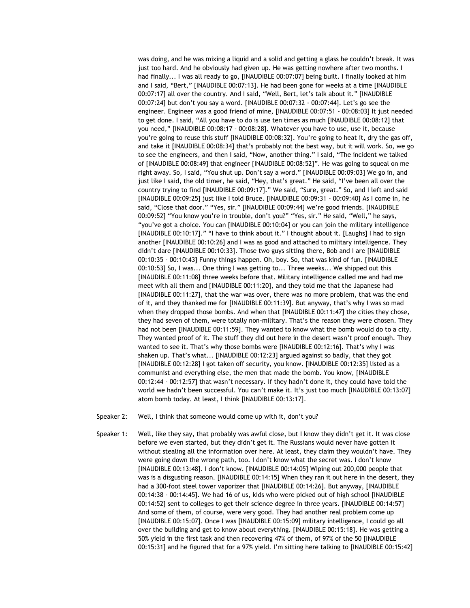was doing, and he was mixing a liquid and a solid and getting a glass he couldn't break. It was just too hard. And he obviously had given up. He was getting nowhere after two months. I had finally... I was all ready to go, [INAUDIBLE 00:07:07] being built. I finally looked at him and I said, "Bert," [INAUDIBLE 00:07:13]. He had been gone for weeks at a time [INAUDIBLE 00:07:17] all over the country. And I said, "Well, Bert, let's talk about it." [INAUDIBLE 00:07:24] but don't you say a word. [INAUDIBLE 00:07:32 - 00:07:44]. Let's go see the engineer. Engineer was a good friend of mine, [INAUDIBLE 00:07:51 - 00:08:03] It just needed to get done. I said, "All you have to do is use ten times as much [INAUDIBLE 00:08:12] that you need," [INAUDIBLE 00:08:17 - 00:08:28]. Whatever you have to use, use it, because you're going to reuse this stuff [INAUDIBLE 00:08:32]. You're going to heat it, dry the gas off, and take it [INAUDIBLE 00:08:34] that's probably not the best way, but it will work. So, we go to see the engineers, and then I said, "Now, another thing." I said, "The incident we talked of [INAUDIBLE 00:08:49] that engineer [INAUDIBLE 00:08:52]". He was going to squeal on me right away. So, I said, "You shut up. Don't say a word." [INAUDIBLE 00:09:03] We go in, and just like I said, the old timer, he said, "Hey, that's great." He said, "I've been all over the country trying to find [INAUDIBLE 00:09:17]." We said, "Sure, great." So, and I left and said [INAUDIBLE 00:09:25] just like I told Bruce. [INAUDIBLE 00:09:31 - 00:09:40] As I come in, he said, "Close that door." "Yes, sir." [INAUDIBLE 00:09:44] we're good friends. [INAUDIBLE 00:09:52] "You know you're in trouble, don't you?" "Yes, sir." He said, "Well," he says, "you've got a choice. You can [INAUDIBLE 00:10:04] or you can join the military intelligence [INAUDIBLE 00:10:17]." "I have to think about it." I thought about it. [Laughs] I had to sign another [INAUDIBLE 00:10:26] and I was as good and attached to military intelligence. They didn't dare [INAUDIBLE 00:10:33]. Those two guys sitting there, Bob and I are [INAUDIBLE 00:10:35 - 00:10:43] Funny things happen. Oh, boy. So, that was kind of fun. [INAUDIBLE 00:10:53] So, I was... One thing I was getting to... Three weeks... We shipped out this [INAUDIBLE 00:11:08] three weeks before that. Military intelligence called me and had me meet with all them and [INAUDIBLE 00:11:20], and they told me that the Japanese had [INAUDIBLE 00:11:27], that the war was over, there was no more problem, that was the end of it, and they thanked me for [INAUDIBLE 00:11:39]. But anyway, that's why I was so mad when they dropped those bombs. And when that [INAUDIBLE 00:11:47] the cities they chose, they had seven of them, were totally non-military. That's the reason they were chosen. They had not been [INAUDIBLE 00:11:59]. They wanted to know what the bomb would do to a city. They wanted proof of it. The stuff they did out here in the desert wasn't proof enough. They wanted to see it. That's why those bombs were [INAUDIBLE 00:12:16]. That's why I was shaken up. That's what... [INAUDIBLE 00:12:23] argued against so badly, that they got [INAUDIBLE 00:12:28] I got taken off security, you know. [INAUDIBLE 00:12:35] listed as a communist and everything else, the men that made the bomb. You know, [INAUDIBLE 00:12:44 - 00:12:57] that wasn't necessary. If they hadn't done it, they could have told the world we hadn't been successful. You can't make it. It's just too much [INAUDIBLE 00:13:07] atom bomb today. At least, I think [INAUDIBLE 00:13:17].

- Speaker 2: Well, I think that someone would come up with it, don't you?
- Speaker 1: Well, like they say, that probably was awful close, but I know they didn't get it. It was close before we even started, but they didn't get it. The Russians would never have gotten it without stealing all the information over here. At least, they claim they wouldn't have. They were going down the wrong path, too. I don't know what the secret was. I don't know [INAUDIBLE 00:13:48]. I don't know. [INAUDIBLE 00:14:05] Wiping out 200,000 people that was is a disgusting reason. [INAUDIBLE 00:14:15] When they ran it out here in the desert, they had a 300-foot steel tower vaporizer that [INAUDIBLE 00:14:26]. But anyway, [INAUDIBLE 00:14:38 - 00:14:45]. We had 16 of us, kids who were picked out of high school [INAUDIBLE 00:14:52] sent to colleges to get their science degree in three years. [INAUDIBLE 00:14:57] And some of them, of course, were very good. They had another real problem come up [INAUDIBLE 00:15:07]. Once I was [INAUDIBLE 00:15:09] military intelligence, I could go all over the building and get to know about everything. [INAUDIBLE 00:15:18]. He was getting a 50% yield in the first task and then recovering 47% of them, of 97% of the 50 [INAUDIBLE 00:15:31] and he figured that for a 97% yield. I'm sitting here talking to [INAUDIBLE 00:15:42]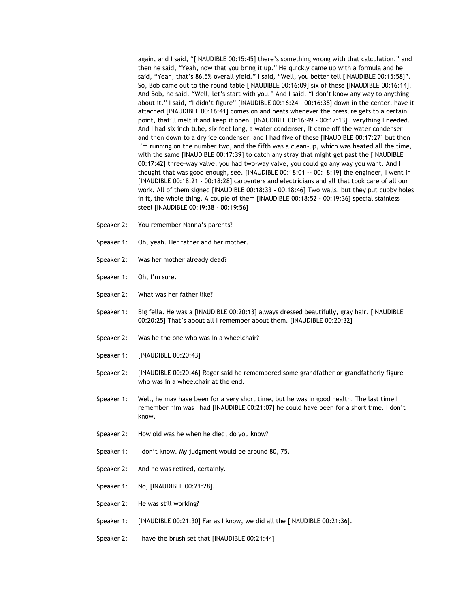again, and I said, "[INAUDIBLE 00:15:45] there's something wrong with that calculation," and then he said, "Yeah, now that you bring it up." He quickly came up with a formula and he said, "Yeah, that's 86.5% overall yield." I said, "Well, you better tell [INAUDIBLE 00:15:58]". So, Bob came out to the round table [INAUDIBLE 00:16:09] six of these [INAUDIBLE 00:16:14]. And Bob, he said, "Well, let's start with you." And I said, "I don't know any way to anything about it." I said, "I didn't figure" [INAUDIBLE 00:16:24 - 00:16:38] down in the center, have it attached [INAUDIBLE 00:16:41] comes on and heats whenever the pressure gets to a certain point, that'll melt it and keep it open. [INAUDIBLE 00:16:49 - 00:17:13] Everything I needed. And I had six inch tube, six feet long, a water condenser, it came off the water condenser and then down to a dry ice condenser, and I had five of these [INAUDIBLE 00:17:27] but then I'm running on the number two, and the fifth was a clean-up, which was heated all the time, with the same [INAUDIBLE 00:17:39] to catch any stray that might get past the [INAUDIBLE 00:17:42] three-way valve, you had two-way valve, you could go any way you want. And I thought that was good enough, see. [INAUDIBLE 00:18:01 -- 00:18:19] the engineer, I went in [INAUDIBLE 00:18:21 - 00:18:28] carpenters and electricians and all that took care of all our work. All of them signed [INAUDIBLE 00:18:33 - 00:18:46] Two walls, but they put cubby holes in it, the whole thing. A couple of them [INAUDIBLE 00:18:52 - 00:19:36] special stainless steel [INAUDIBLE 00:19:38 - 00:19:56]

- Speaker 2: You remember Nanna's parents?
- Speaker 1: Oh, yeah. Her father and her mother.
- Speaker 2: Was her mother already dead?
- Speaker 1: Oh, I'm sure.
- Speaker 2: What was her father like?
- Speaker 1: Big fella. He was a [INAUDIBLE 00:20:13] always dressed beautifully, gray hair. [INAUDIBLE 00:20:25] That's about all I remember about them. [INAUDIBLE 00:20:32]
- Speaker 2: Was he the one who was in a wheelchair?
- Speaker 1: [INAUDIBLE 00:20:43]
- Speaker 2: [INAUDIBLE 00:20:46] Roger said he remembered some grandfather or grandfatherly figure who was in a wheelchair at the end.
- Speaker 1: Well, he may have been for a very short time, but he was in good health. The last time I remember him was I had [INAUDIBLE 00:21:07] he could have been for a short time. I don't know.
- Speaker 2: How old was he when he died, do you know?
- Speaker 1: I don't know. My judgment would be around 80, 75.
- Speaker 2: And he was retired, certainly.
- Speaker 1: No, [INAUDIBLE 00:21:28].
- Speaker 2: He was still working?
- Speaker 1: [INAUDIBLE 00:21:30] Far as I know, we did all the [INAUDIBLE 00:21:36].
- Speaker 2: I have the brush set that [INAUDIBLE 00:21:44]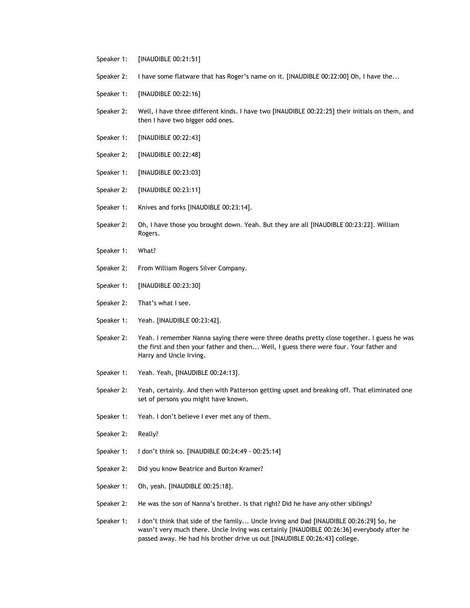- Speaker 1: [INAUDIBLE 00:21:51]
- Speaker 2: I have some flatware that has Roger's name on it. [INAUDIBLE 00:22:00] Oh, I have the...
- Speaker 1: [INAUDIBLE 00:22:16]
- Speaker 2: Well, I have three different kinds. I have two [INAUDIBLE 00:22:25] their initials on them, and then I have two bigger odd ones.
- Speaker 1: [INAUDIBLE 00:22:43]
- Speaker 2: [INAUDIBLE 00:22:48]
- Speaker 1: [INAUDIBLE 00:23:03]
- Speaker 2: [INAUDIBLE 00:23:11]
- Speaker 1: Knives and forks [INAUDIBLE 00:23:14].
- Speaker 2: Oh, I have those you brought down. Yeah. But they are all [INAUDIBLE 00:23:22]. William Rogers.
- Speaker 1: What?
- Speaker 2: From William Rogers Silver Company.
- Speaker 1: [INAUDIBLE 00:23:30]
- Speaker 2: That's what I see.
- Speaker 1: Yeah. [INAUDIBLE 00:23:42].
- Speaker 2: Yeah. I remember Nanna saying there were three deaths pretty close together. I guess he was the first and then your father and then... Well, I guess there were four. Your father and Harry and Uncle Irving.
- Speaker 1: Yeah. Yeah, [INAUDIBLE 00:24:13].
- Speaker 2: Yeah, certainly. And then with Patterson getting upset and breaking off. That eliminated one set of persons you might have known.
- Speaker 1: Yeah. I don't believe I ever met any of them.
- Speaker 2: Really?
- Speaker 1: I don't think so. [INAUDIBLE 00:24:49 00:25:14]
- Speaker 2: Did you know Beatrice and Burton Kramer?
- Speaker 1: Oh, yeah. [INAUDIBLE 00:25:18].
- Speaker 2: He was the son of Nanna's brother. Is that right? Did he have any other siblings?
- Speaker 1: I don't think that side of the family... Uncle Irving and Dad [INAUDIBLE 00:26:29] So, he wasn't very much there. Uncle Irving was certainly [INAUDIBLE 00:26:36] everybody after he passed away. He had his brother drive us out [INAUDIBLE 00:26:43] college.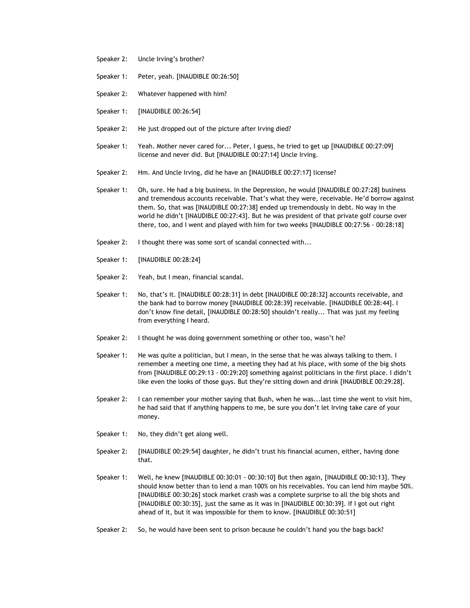- Speaker 2: Uncle Irving's brother?
- Speaker 1: Peter, yeah. [INAUDIBLE 00:26:50]
- Speaker 2: Whatever happened with him?
- Speaker 1: [INAUDIBLE 00:26:54]
- Speaker 2: He just dropped out of the picture after Irving died?
- Speaker 1: Yeah. Mother never cared for... Peter, I guess, he tried to get up [INAUDIBLE 00:27:09] license and never did. But [INAUDIBLE 00:27:14] Uncle Irving.
- Speaker 2: Hm. And Uncle Irving, did he have an [INAUDIBLE 00:27:17] license?
- Speaker 1: Oh, sure. He had a big business. In the Depression, he would [INAUDIBLE 00:27:28] business and tremendous accounts receivable. That's what they were, receivable. He'd borrow against them. So, that was [INAUDIBLE 00:27:38] ended up tremendously in debt. No way in the world he didn't [INAUDIBLE 00:27:43]. But he was president of that private golf course over there, too, and I went and played with him for two weeks [INAUDIBLE 00:27:56 - 00:28:18]
- Speaker 2: I thought there was some sort of scandal connected with...
- Speaker 1: [INAUDIBLE 00:28:24]
- Speaker 2: Yeah, but I mean, financial scandal.
- Speaker 1: No, that's it. [INAUDIBLE 00:28:31] in debt [INAUDIBLE 00:28:32] accounts receivable, and the bank had to borrow money [INAUDIBLE 00:28:39] receivable. [INAUDIBLE 00:28:44]. I don't know fine detail, [INAUDIBLE 00:28:50] shouldn't really... That was just my feeling from everything I heard.
- Speaker 2: I thought he was doing government something or other too, wasn't he?
- Speaker 1: He was quite a politician, but I mean, in the sense that he was always talking to them. I remember a meeting one time, a meeting they had at his place, with some of the big shots from [INAUDIBLE 00:29:13 - 00:29:20] something against politicians in the first place. I didn't like even the looks of those guys. But they're sitting down and drink [INAUDIBLE 00:29:28].
- Speaker 2: I can remember your mother saying that Bush, when he was...last time she went to visit him, he had said that if anything happens to me, be sure you don't let Irving take care of your money.
- Speaker 1: No, they didn't get along well.
- Speaker 2: [INAUDIBLE 00:29:54] daughter, he didn't trust his financial acumen, either, having done that.
- Speaker 1: Well, he knew [INAUDIBLE 00:30:01 00:30:10] But then again, [INAUDIBLE 00:30:13]. They should know better than to lend a man 100% on his receivables. You can lend him maybe 50%. [INAUDIBLE 00:30:26] stock market crash was a complete surprise to all the big shots and [INAUDIBLE 00:30:35], just the same as it was in [INAUDIBLE 00:30:39]. If I got out right ahead of it, but it was impossible for them to know. [INAUDIBLE 00:30:51]
- Speaker 2: So, he would have been sent to prison because he couldn't hand you the bags back?